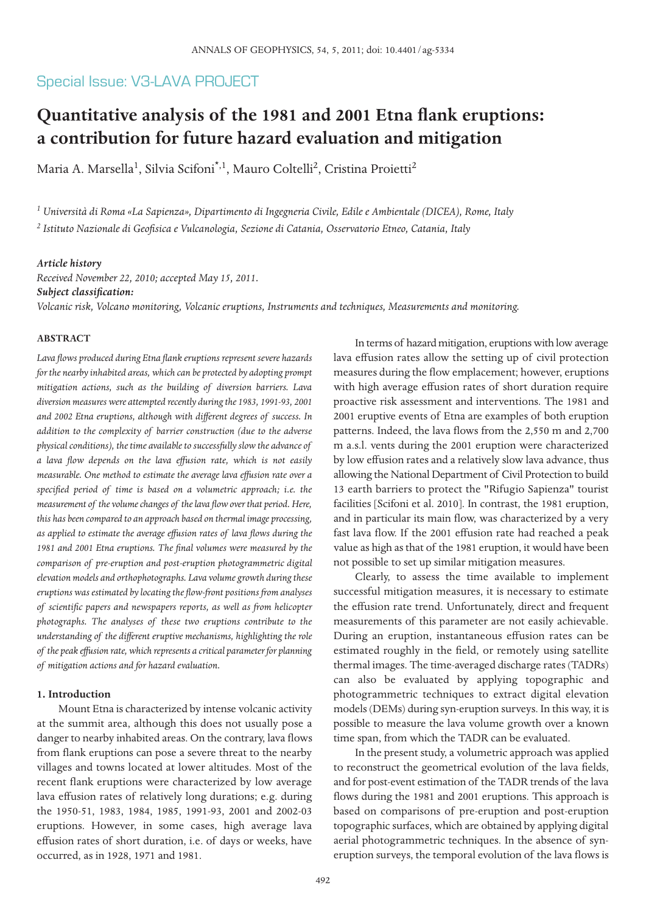# Special Issue: V3-LAVA PROJECT

# **Quantitative analysis of the 1981 and 2001 Etna flank eruptions: a contribution for future hazard evaluation and mitigation**

Maria A. Marsella<sup>1</sup>, Silvia Scifoni<sup>\*,1</sup>, Mauro Coltelli<sup>2</sup>, Cristina Proietti<sup>2</sup>

*<sup>1</sup> Università di Roma «La Sapienza», Dipartimento di Ingegneria Civile, Edile e Ambientale (DICEA), Rome, Italy <sup>2</sup> Istituto Nazionale di Geofisica e Vulcanologia, Sezione di Catania, Osservatorio Etneo, Catania, Italy*

#### *Article history*

*Received November 22, 2010; accepted May 15, 2011. Subject classification: Volcanic risk, Volcano monitoring, Volcanic eruptions, Instruments and techniques, Measurements and monitoring.*

#### **ABSTRACT**

*Lava flows produced during Etna flank eruptions represent severe hazards for the nearby inhabited areas, which can be protected by adopting prompt mitigation actions, such as the building of diversion barriers. Lava diversion measures were attempted recently during the 1983, 1991-93, 2001 and 2002 Etna eruptions, although with different degrees of success. In addition to the complexity of barrier construction (due to the adverse physical conditions), the time available to successfully slow the advance of a lava flow depends on the lava effusion rate, which is not easily measurable. One method to estimate the average lava effusion rate over a specified period of time is based on a volumetric approach; i.e. the measurement of the volume changes of the lava flow over that period. Here, this has been compared to an approach based on thermal image processing, as applied to estimate the average effusion rates of lava flows during the 1981 and 2001 Etna eruptions. The final volumes were measured by the comparison of pre-eruption and post-eruption photogrammetric digital elevation models and orthophotographs. Lava volume growth during these eruptions was estimated by locating the flow-front positions from analyses of scientific papers and newspapers reports, as well as from helicopter photographs. The analyses of these two eruptions contribute to the understanding of the different eruptive mechanisms, highlighting the role of the peak effusion rate, which represents a critical parameter for planning of mitigation actions and for hazard evaluation.*

#### **1. Introduction**

Mount Etna is characterized by intense volcanic activity at the summit area, although this does not usually pose a danger to nearby inhabited areas. On the contrary, lava flows from flank eruptions can pose a severe threat to the nearby villages and towns located at lower altitudes. Most of the recent flank eruptions were characterized by low average lava effusion rates of relatively long durations; e.g. during the 1950-51, 1983, 1984, 1985, 1991-93, 2001 and 2002-03 eruptions. However, in some cases, high average lava effusion rates of short duration, i.e. of days or weeks, have occurred, as in 1928, 1971 and 1981.

In terms of hazard mitigation, eruptions with low average lava effusion rates allow the setting up of civil protection measures during the flow emplacement; however, eruptions with high average effusion rates of short duration require proactive risk assessment and interventions. The 1981 and 2001 eruptive events of Etna are examples of both eruption patterns. Indeed, the lava flows from the 2,550 m and 2,700 m a.s.l. vents during the 2001 eruption were characterized by low effusion rates and a relatively slow lava advance, thus allowing the National Department of Civil Protection to build 13 earth barriers to protect the "Rifugio Sapienza" tourist facilities [Scifoni et al. 2010]. In contrast, the 1981 eruption, and in particular its main flow, was characterized by a very fast lava flow. If the 2001 effusion rate had reached a peak value as high as that of the 1981 eruption, it would have been not possible to set up similar mitigation measures.

Clearly, to assess the time available to implement successful mitigation measures, it is necessary to estimate the effusion rate trend. Unfortunately, direct and frequent measurements of this parameter are not easily achievable. During an eruption, instantaneous effusion rates can be estimated roughly in the field, or remotely using satellite thermal images. The time-averaged discharge rates (TADRs) can also be evaluated by applying topographic and photogrammetric techniques to extract digital elevation models (DEMs) during syn-eruption surveys. In this way, it is possible to measure the lava volume growth over a known time span, from which the TADR can be evaluated.

In the present study, a volumetric approach was applied to reconstruct the geometrical evolution of the lava fields, and for post-event estimation of the TADR trends of the lava flows during the 1981 and 2001 eruptions. This approach is based on comparisons of pre-eruption and post-eruption topographic surfaces, which are obtained by applying digital aerial photogrammetric techniques. In the absence of syneruption surveys, the temporal evolution of the lava flows is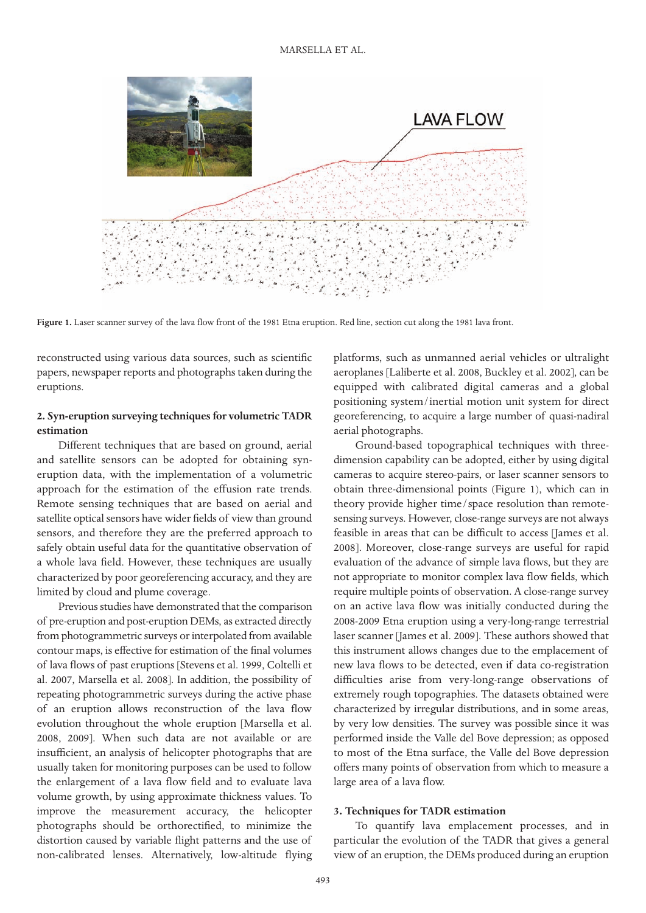

Figure 1. Laser scanner survey of the lava flow front of the 1981 Etna eruption. Red line, section cut along the 1981 lava front.

reconstructed using various data sources, such as scientific papers, newspaper reports and photographs taken during the eruptions.

### **2. Syn-eruption surveying techniques for volumetric TADR estimation**

Different techniques that are based on ground, aerial and satellite sensors can be adopted for obtaining syneruption data, with the implementation of a volumetric approach for the estimation of the effusion rate trends. Remote sensing techniques that are based on aerial and satellite optical sensors have wider fields of view than ground sensors, and therefore they are the preferred approach to safely obtain useful data for the quantitative observation of a whole lava field. However, these techniques are usually characterized by poor georeferencing accuracy, and they are limited by cloud and plume coverage.

Previous studies have demonstrated that the comparison of pre-eruption and post-eruption DEMs, as extracted directly from photogrammetric surveys or interpolated from available contour maps, is effective for estimation of the final volumes of lava flows of past eruptions [Stevens et al. 1999, Coltelli et al. 2007, Marsella et al. 2008]. In addition, the possibility of repeating photogrammetric surveys during the active phase of an eruption allows reconstruction of the lava flow evolution throughout the whole eruption [Marsella et al. 2008, 2009]. When such data are not available or are insufficient, an analysis of helicopter photographs that are usually taken for monitoring purposes can be used to follow the enlargement of a lava flow field and to evaluate lava volume growth, by using approximate thickness values. To improve the measurement accuracy, the helicopter photographs should be orthorectified, to minimize the distortion caused by variable flight patterns and the use of non-calibrated lenses. Alternatively, low-altitude flying

platforms, such as unmanned aerial vehicles or ultralight aeroplanes [Laliberte et al. 2008, Buckley et al. 2002], can be equipped with calibrated digital cameras and a global positioning system/inertial motion unit system for direct georeferencing, to acquire a large number of quasi-nadiral aerial photographs.

Ground-based topographical techniques with threedimension capability can be adopted, either by using digital cameras to acquire stereo-pairs, or laser scanner sensors to obtain three-dimensional points (Figure 1), which can in theory provide higher time/space resolution than remotesensing surveys. However, close-range surveys are not always feasible in areas that can be difficult to access [James et al. 2008]. Moreover, close-range surveys are useful for rapid evaluation of the advance of simple lava flows, but they are not appropriate to monitor complex lava flow fields, which require multiple points of observation. A close-range survey on an active lava flow was initially conducted during the 2008-2009 Etna eruption using a very-long-range terrestrial laser scanner [James et al. 2009]. These authors showed that this instrument allows changes due to the emplacement of new lava flows to be detected, even if data co-registration difficulties arise from very-long-range observations of extremely rough topographies. The datasets obtained were characterized by irregular distributions, and in some areas, by very low densities. The survey was possible since it was performed inside the Valle del Bove depression; as opposed to most of the Etna surface, the Valle del Bove depression offers many points of observation from which to measure a large area of a lava flow.

#### **3. Techniques for TADR estimation**

To quantify lava emplacement processes, and in particular the evolution of the TADR that gives a general view of an eruption, the DEMs produced during an eruption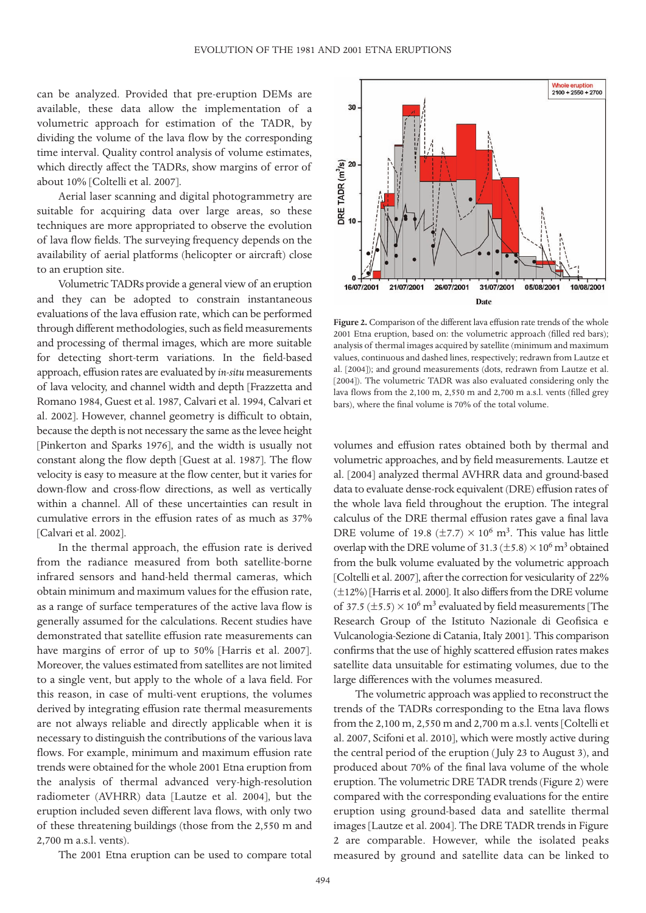can be analyzed. Provided that pre-eruption DEMs are available, these data allow the implementation of a volumetric approach for estimation of the TADR, by dividing the volume of the lava flow by the corresponding time interval. Quality control analysis of volume estimates, which directly affect the TADRs, show margins of error of about 10% [Coltelli et al. 2007].

Aerial laser scanning and digital photogrammetry are suitable for acquiring data over large areas, so these techniques are more appropriated to observe the evolution of lava flow fields. The surveying frequency depends on the availability of aerial platforms (helicopter or aircraft) close to an eruption site.

Volumetric TADRs provide a general view of an eruption and they can be adopted to constrain instantaneous evaluations of the lava effusion rate, which can be performed through different methodologies, such as field measurements and processing of thermal images, which are more suitable for detecting short-term variations. In the field-based approach, effusion rates are evaluated by *in-situ* measurements of lava velocity, and channel width and depth [Frazzetta and Romano 1984, Guest et al. 1987, Calvari et al. 1994, Calvari et al. 2002]. However, channel geometry is difficult to obtain, because the depth is not necessary the same as the levee height [Pinkerton and Sparks 1976], and the width is usually not constant along the flow depth [Guest at al. 1987]. The flow velocity is easy to measure at the flow center, but it varies for down-flow and cross-flow directions, as well as vertically within a channel. All of these uncertainties can result in cumulative errors in the effusion rates of as much as 37% [Calvari et al. 2002].

In the thermal approach, the effusion rate is derived from the radiance measured from both satellite-borne infrared sensors and hand-held thermal cameras, which obtain minimum and maximum values for the effusion rate, as a range of surface temperatures of the active lava flow is generally assumed for the calculations. Recent studies have demonstrated that satellite effusion rate measurements can have margins of error of up to 50% [Harris et al. 2007]. Moreover, the values estimated from satellites are not limited to a single vent, but apply to the whole of a lava field. For this reason, in case of multi-vent eruptions, the volumes derived by integrating effusion rate thermal measurements are not always reliable and directly applicable when it is necessary to distinguish the contributions of the various lava flows. For example, minimum and maximum effusion rate trends were obtained for the whole 2001 Etna eruption from the analysis of thermal advanced very-high-resolution radiometer (AVHRR) data [Lautze et al. 2004], but the eruption included seven different lava flows, with only two of these threatening buildings (those from the 2,550 m and 2,700 m a.s.l. vents).

The 2001 Etna eruption can be used to compare total



**Figure 2.** Comparison of the different lava effusion rate trends of the whole 2001 Etna eruption, based on: the volumetric approach (filled red bars); analysis of thermal images acquired by satellite (minimum and maximum values, continuous and dashed lines, respectively; redrawn from Lautze et al. [2004]); and ground measurements (dots, redrawn from Lautze et al. [2004]). The volumetric TADR was also evaluated considering only the lava flows from the 2,100 m, 2,550 m and 2,700 m a.s.l. vents (filled grey bars), where the final volume is 70% of the total volume.

volumes and effusion rates obtained both by thermal and volumetric approaches, and by field measurements. Lautze et al. [2004] analyzed thermal AVHRR data and ground-based data to evaluate dense-rock equivalent (DRE) effusion rates of the whole lava field throughout the eruption. The integral calculus of the DRE thermal effusion rates gave a final lava DRE volume of 19.8 ( $\pm$ 7.7) × 10<sup>6</sup> m<sup>3</sup>. This value has little overlap with the DRE volume of  $31.3 (\pm 5.8) \times 10^6$  m<sup>3</sup> obtained from the bulk volume evaluated by the volumetric approach [Coltelli et al. 2007], after the correction for vesicularity of 22% (±12%) [Harris et al. 2000]. It also differs from the DRE volume of 37.5 ( $\pm$ 5.5)  $\times$  10<sup>6</sup> m<sup>3</sup> evaluated by field measurements [The Research Group of the Istituto Nazionale di Geofisica e Vulcanologia-Sezione di Catania, Italy 2001]. This comparison confirms that the use of highly scattered effusion rates makes satellite data unsuitable for estimating volumes, due to the large differences with the volumes measured.

The volumetric approach was applied to reconstruct the trends of the TADRs corresponding to the Etna lava flows from the 2,100 m, 2,550 m and 2,700 m a.s.l. vents [Coltelli et al. 2007, Scifoni et al. 2010], which were mostly active during the central period of the eruption (July 23 to August 3), and produced about 70% of the final lava volume of the whole eruption. The volumetric DRE TADR trends (Figure 2) were compared with the corresponding evaluations for the entire eruption using ground-based data and satellite thermal images [Lautze et al. 2004]. The DRE TADR trends in Figure 2 are comparable. However, while the isolated peaks measured by ground and satellite data can be linked to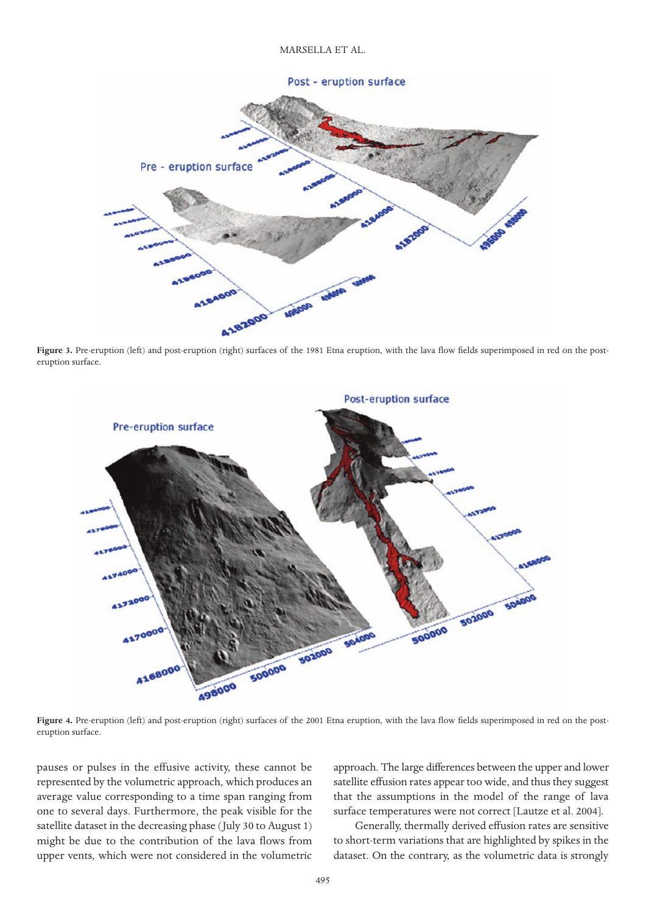#### Post - eruption surface



Figure 3. Pre-eruption (left) and post-eruption (right) surfaces of the 1981 Etna eruption, with the lava flow fields superimposed in red on the posteruption surface.



Figure 4. Pre-eruption (left) and post-eruption (right) surfaces of the 2001 Etna eruption, with the lava flow fields superimposed in red on the posteruption surface.

pauses or pulses in the effusive activity, these cannot be represented by the volumetric approach, which produces an average value corresponding to a time span ranging from one to several days. Furthermore, the peak visible for the satellite dataset in the decreasing phase (July 30 to August 1) might be due to the contribution of the lava flows from upper vents, which were not considered in the volumetric

approach. The large differences between the upper and lower satellite effusion rates appear too wide, and thus they suggest that the assumptions in the model of the range of lava surface temperatures were not correct [Lautze et al. 2004].

Generally, thermally derived effusion rates are sensitive to short-term variations that are highlighted by spikes in the dataset. On the contrary, as the volumetric data is strongly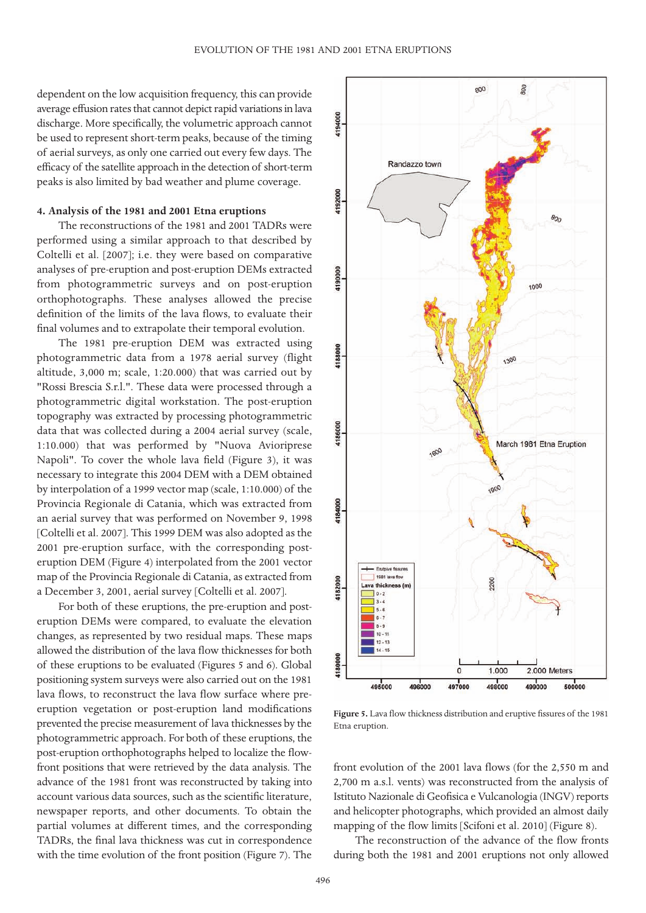dependent on the low acquisition frequency, this can provide average effusion rates that cannot depict rapid variations in lava discharge. More specifically, the volumetric approach cannot be used to represent short-term peaks, because of the timing of aerial surveys, as only one carried out every few days. The efficacy of the satellite approach in the detection of short-term peaks is also limited by bad weather and plume coverage.

## **4. Analysis of the 1981 and 2001 Etna eruptions**

The reconstructions of the 1981 and 2001 TADRs were performed using a similar approach to that described by Coltelli et al. [2007]; i.e. they were based on comparative analyses of pre-eruption and post-eruption DEMs extracted from photogrammetric surveys and on post-eruption orthophotographs. These analyses allowed the precise definition of the limits of the lava flows, to evaluate their final volumes and to extrapolate their temporal evolution.

The 1981 pre-eruption DEM was extracted using photogrammetric data from a 1978 aerial survey (flight altitude, 3,000 m; scale, 1:20.000) that was carried out by "Rossi Brescia S.r.l.". These data were processed through a photogrammetric digital workstation. The post-eruption topography was extracted by processing photogrammetric data that was collected during a 2004 aerial survey (scale, 1:10.000) that was performed by "Nuova Avioriprese Napoli". To cover the whole lava field (Figure 3), it was necessary to integrate this 2004 DEM with a DEM obtained by interpolation of a 1999 vector map (scale, 1:10.000) of the Provincia Regionale di Catania, which was extracted from an aerial survey that was performed on November 9, 1998 [Coltelli et al. 2007]. This 1999 DEM was also adopted as the 2001 pre-eruption surface, with the corresponding posteruption DEM (Figure 4) interpolated from the 2001 vector map of the Provincia Regionale di Catania, as extracted from a December 3, 2001, aerial survey [Coltelli et al. 2007].

For both of these eruptions, the pre-eruption and posteruption DEMs were compared, to evaluate the elevation changes, as represented by two residual maps. These maps allowed the distribution of the lava flow thicknesses for both of these eruptions to be evaluated (Figures 5 and 6). Global positioning system surveys were also carried out on the 1981 lava flows, to reconstruct the lava flow surface where preeruption vegetation or post-eruption land modifications prevented the precise measurement of lava thicknesses by the photogrammetric approach. For both of these eruptions, the post-eruption orthophotographs helped to localize the flowfront positions that were retrieved by the data analysis. The advance of the 1981 front was reconstructed by taking into account various data sources, such as the scientific literature, newspaper reports, and other documents. To obtain the partial volumes at different times, and the corresponding TADRs, the final lava thickness was cut in correspondence with the time evolution of the front position (Figure 7). The



**Figure 5.** Lava flow thickness distribution and eruptive fissures of the 1981 Etna eruption.

front evolution of the 2001 lava flows (for the 2,550 m and 2,700 m a.s.l. vents) was reconstructed from the analysis of Istituto Nazionale di Geofisica e Vulcanologia (INGV) reports and helicopter photographs, which provided an almost daily mapping of the flow limits [Scifoni et al. 2010] (Figure 8).

The reconstruction of the advance of the flow fronts during both the 1981 and 2001 eruptions not only allowed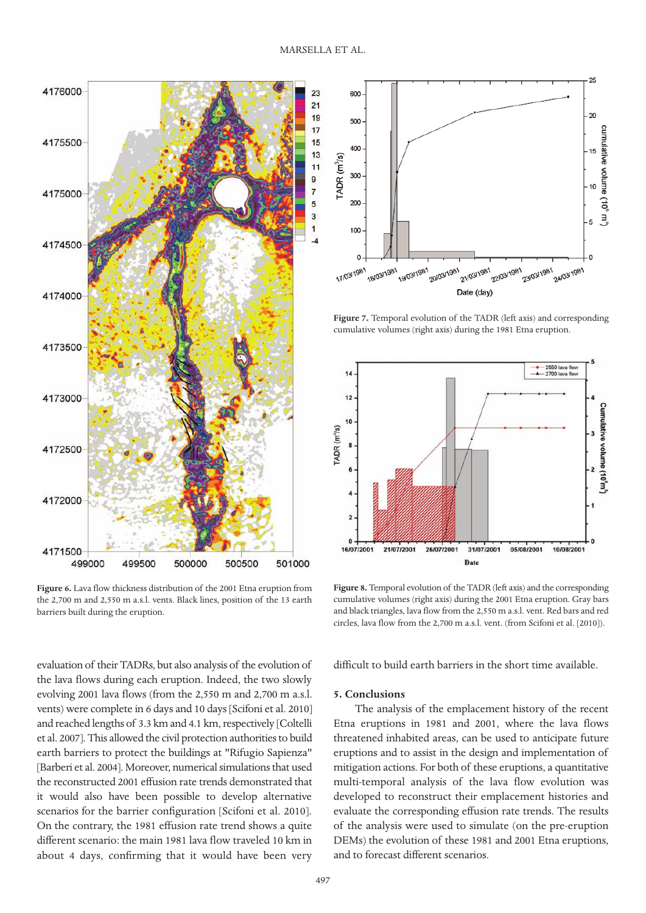

**Figure 6.** Lava flow thickness distribution of the 2001 Etna eruption from the 2,700 m and 2,550 m a.s.l. vents. Black lines, position of the 13 earth barriers built during the eruption.



**Figure 7.** Temporal evolution of the TADR (left axis) and corresponding cumulative volumes (right axis) during the 1981 Etna eruption.



**Figure 8.** Temporal evolution of the TADR (left axis) and the corresponding cumulative volumes (right axis) during the 2001 Etna eruption. Gray bars and black triangles, lava flow from the 2,550 m a.s.l. vent. Red bars and red circles, lava flow from the 2,700 m a.s.l. vent. (from Scifoni et al. [2010]).

evaluation of their TADRs, but also analysis of the evolution of the lava flows during each eruption. Indeed, the two slowly evolving 2001 lava flows (from the 2,550 m and 2,700 m a.s.l. vents) were complete in 6 days and 10 days [Scifoni et al. 2010] and reached lengths of 3.3 km and 4.1 km, respectively [Coltelli et al. 2007]. This allowed the civil protection authorities to build earth barriers to protect the buildings at "Rifugio Sapienza" [Barberi et al. 2004]. Moreover, numerical simulations that used the reconstructed 2001 effusion rate trends demonstrated that it would also have been possible to develop alternative scenarios for the barrier configuration [Scifoni et al. 2010]. On the contrary, the 1981 effusion rate trend shows a quite different scenario: the main 1981 lava flow traveled 10 km in about 4 days, confirming that it would have been very

difficult to build earth barriers in the short time available.

#### **5. Conclusions**

The analysis of the emplacement history of the recent Etna eruptions in 1981 and 2001, where the lava flows threatened inhabited areas, can be used to anticipate future eruptions and to assist in the design and implementation of mitigation actions. For both of these eruptions, a quantitative multi-temporal analysis of the lava flow evolution was developed to reconstruct their emplacement histories and evaluate the corresponding effusion rate trends. The results of the analysis were used to simulate (on the pre-eruption DEMs) the evolution of these 1981 and 2001 Etna eruptions, and to forecast different scenarios.